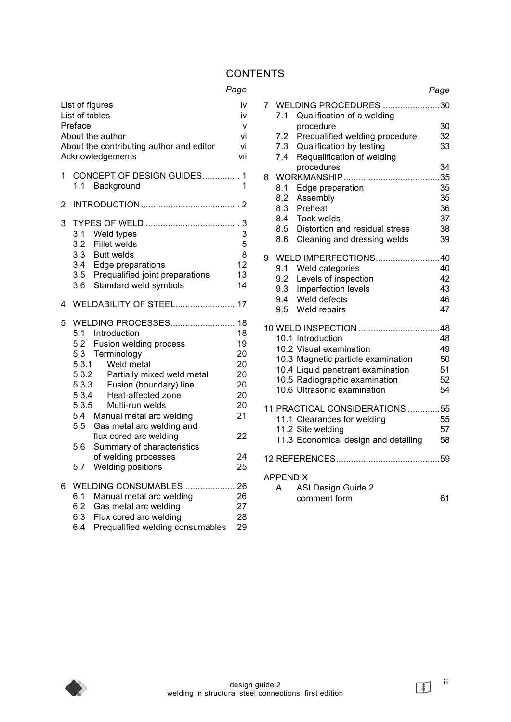# **CONTENTS**

## *Page*

|   | List of figures<br>List of tables<br>Preface<br>About the author<br>About the contributing author and editor<br>Acknowledgements                                                                                                                                                                                                                                                                                                                   | iv<br>iv<br>v<br>vi<br>vi<br>vii                                     |
|---|----------------------------------------------------------------------------------------------------------------------------------------------------------------------------------------------------------------------------------------------------------------------------------------------------------------------------------------------------------------------------------------------------------------------------------------------------|----------------------------------------------------------------------|
| 1 | CONCEPT OF DESIGN GUIDES 1<br>1.1 Background                                                                                                                                                                                                                                                                                                                                                                                                       | 1                                                                    |
| 2 |                                                                                                                                                                                                                                                                                                                                                                                                                                                    |                                                                      |
| 3 | 3.1<br>Weld types<br>3.2<br><b>Fillet welds</b><br>3.3<br><b>Butt welds</b><br>3.4 Edge preparations<br>3.5 Prequalified joint preparations<br>Standard weld symbols<br>3.6                                                                                                                                                                                                                                                                        | 3<br>5<br>8<br>12<br>13<br>14                                        |
| 4 | <b>WELDABILITY OF STEEL 17</b>                                                                                                                                                                                                                                                                                                                                                                                                                     |                                                                      |
| 5 | WELDING PROCESSES 18<br>5.1 Introduction<br>5.2<br>Fusion welding process<br>Terminology<br>5.3<br>5.3.1<br>Weld metal<br>5.3.2<br>Partially mixed weld metal<br>5.3.3<br>Fusion (boundary) line<br>5.3.4<br>Heat-affected zone<br>5.3.5<br>Multi-run welds<br>5.4 Manual metal arc welding<br>5.5<br>Gas metal arc welding and<br>flux cored arc welding<br>5.6<br>Summary of characteristics<br>of welding processes<br>5.7<br>Welding positions | 18<br>19<br>20<br>20<br>20<br>20<br>20<br>20<br>21<br>22<br>24<br>25 |
| 6 | WELDING CONSUMABLES  26<br>6.1<br>Manual metal arc welding<br>6.2<br>Gas metal arc welding<br>6.3<br>Flux cored arc welding<br>Prequalified welding consumables<br>6.4                                                                                                                                                                                                                                                                             | 26<br>27<br>28<br>29                                                 |

|                 |            |                                                        | Page     |  |
|-----------------|------------|--------------------------------------------------------|----------|--|
| $\overline{7}$  | 7.1        | WELDING PROCEDURES 30<br>Qualification of a welding    |          |  |
|                 |            | procedure                                              | 30       |  |
|                 | 7.2        | Prequalified welding procedure                         | 32       |  |
|                 | 7.3<br>7.4 | Qualification by testing<br>Requalification of welding | 33       |  |
|                 |            | procedures                                             | 34       |  |
| 8               |            |                                                        |          |  |
|                 | 8.1        | Edge preparation                                       | 35       |  |
|                 | 8.2        | Assembly                                               | 35       |  |
|                 |            | 8.3 Preheat                                            | 36       |  |
|                 | 8.4        | Tack welds<br>8.5 Distortion and residual stress       | 37<br>38 |  |
|                 |            | 8.6 Cleaning and dressing welds                        | 39       |  |
|                 |            |                                                        |          |  |
| 9               |            | WELD IMPERFECTIONS40                                   |          |  |
|                 |            | 9.1 Weld categories                                    | 40       |  |
|                 | 9.2<br>9.3 | Levels of inspection                                   | 42<br>43 |  |
|                 |            | Imperfection levels<br>9.4 Weld defects                | 46       |  |
|                 |            | 9.5 Weld repairs                                       | 47       |  |
|                 |            |                                                        |          |  |
|                 |            |                                                        |          |  |
|                 |            | 10.1 Introduction<br>10.2 Visual examination           | 48       |  |
|                 |            | 10.3 Magnetic particle examination                     | 49<br>50 |  |
|                 |            | 10.4 Liquid penetrant examination                      | 51       |  |
|                 |            | 10.5 Radiographic examination                          | 52       |  |
|                 |            | 10.6 Ultrasonic examination                            | 54       |  |
|                 |            | 11 PRACTICAL CONSIDERATIONS 55                         |          |  |
|                 |            | 11.1 Clearances for welding                            | 55       |  |
|                 |            | 11.2 Site welding                                      | 57       |  |
|                 |            | 11.3 Economical design and detailing                   | 58       |  |
|                 |            |                                                        |          |  |
| <b>APPENDIX</b> |            |                                                        |          |  |
|                 | A          | ASI Design Guide 2                                     |          |  |
|                 |            | comment form                                           | 61       |  |



iii

 $\bullet$